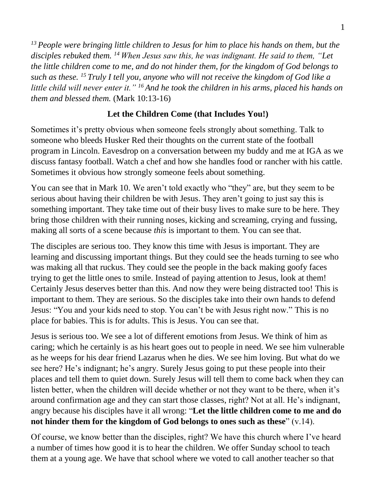*<sup>13</sup> People were bringing little children to Jesus for him to place his hands on them, but the disciples rebuked them. <sup>14</sup> When Jesus saw this, he was indignant. He said to them, "Let the little children come to me, and do not hinder them, for the kingdom of God belongs to such as these. <sup>15</sup> Truly I tell you, anyone who will not receive the kingdom of God like a little child will never enter it." <sup>16</sup> And he took the children in his arms, placed his hands on them and blessed them.* (Mark 10:13-16)

## **Let the Children Come (that Includes You!)**

Sometimes it's pretty obvious when someone feels strongly about something. Talk to someone who bleeds Husker Red their thoughts on the current state of the football program in Lincoln. Eavesdrop on a conversation between my buddy and me at IGA as we discuss fantasy football. Watch a chef and how she handles food or rancher with his cattle. Sometimes it obvious how strongly someone feels about something.

You can see that in Mark 10. We aren't told exactly who "they" are, but they seem to be serious about having their children be with Jesus. They aren't going to just say this is something important. They take time out of their busy lives to make sure to be here. They bring those children with their running noses, kicking and screaming, crying and fussing, making all sorts of a scene because *this* is important to them. You can see that.

The disciples are serious too. They know this time with Jesus is important. They are learning and discussing important things. But they could see the heads turning to see who was making all that ruckus. They could see the people in the back making goofy faces trying to get the little ones to smile. Instead of paying attention to Jesus, look at them! Certainly Jesus deserves better than this. And now they were being distracted too! This is important to them. They are serious. So the disciples take into their own hands to defend Jesus: "You and your kids need to stop. You can't be with Jesus right now." This is no place for babies. This is for adults. This is Jesus. You can see that.

Jesus is serious too. We see a lot of different emotions from Jesus. We think of him as caring; which he certainly is as his heart goes out to people in need. We see him vulnerable as he weeps for his dear friend Lazarus when he dies. We see him loving. But what do we see here? He's indignant; he's angry. Surely Jesus going to put these people into their places and tell them to quiet down. Surely Jesus will tell them to come back when they can listen better, when the children will decide whether or not they want to be there, when it's around confirmation age and they can start those classes, right? Not at all. He's indignant, angry because his disciples have it all wrong: "**Let the little children come to me and do not hinder them for the kingdom of God belongs to ones such as these**" (v.14).

Of course, we know better than the disciples, right? We have this church where I've heard a number of times how good it is to hear the children. We offer Sunday school to teach them at a young age. We have that school where we voted to call another teacher so that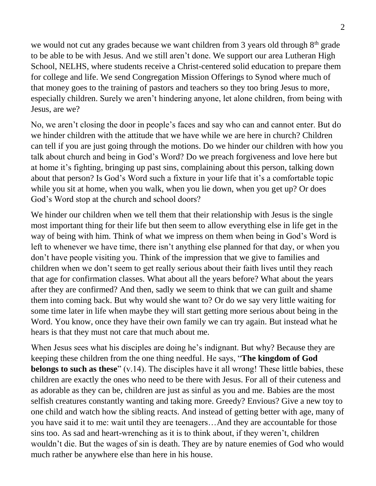we would not cut any grades because we want children from 3 years old through  $8<sup>th</sup>$  grade to be able to be with Jesus. And we still aren't done. We support our area Lutheran High School, NELHS, where students receive a Christ-centered solid education to prepare them for college and life. We send Congregation Mission Offerings to Synod where much of that money goes to the training of pastors and teachers so they too bring Jesus to more, especially children. Surely we aren't hindering anyone, let alone children, from being with Jesus, are we?

No, we aren't closing the door in people's faces and say who can and cannot enter. But do we hinder children with the attitude that we have while we are here in church? Children can tell if you are just going through the motions. Do we hinder our children with how you talk about church and being in God's Word? Do we preach forgiveness and love here but at home it's fighting, bringing up past sins, complaining about this person, talking down about that person? Is God's Word such a fixture in your life that it's a comfortable topic while you sit at home, when you walk, when you lie down, when you get up? Or does God's Word stop at the church and school doors?

We hinder our children when we tell them that their relationship with Jesus is the single most important thing for their life but then seem to allow everything else in life get in the way of being with him. Think of what we impress on them when being in God's Word is left to whenever we have time, there isn't anything else planned for that day, or when you don't have people visiting you. Think of the impression that we give to families and children when we don't seem to get really serious about their faith lives until they reach that age for confirmation classes. What about all the years before? What about the years after they are confirmed? And then, sadly we seem to think that we can guilt and shame them into coming back. But why would she want to? Or do we say very little waiting for some time later in life when maybe they will start getting more serious about being in the Word. You know, once they have their own family we can try again. But instead what he hears is that they must not care that much about me.

When Jesus sees what his disciples are doing he's indignant. But why? Because they are keeping these children from the one thing needful. He says, "**The kingdom of God belongs to such as these**" (v.14). The disciples have it all wrong! These little babies, these children are exactly the ones who need to be there with Jesus. For all of their cuteness and as adorable as they can be, children are just as sinful as you and me. Babies are the most selfish creatures constantly wanting and taking more. Greedy? Envious? Give a new toy to one child and watch how the sibling reacts. And instead of getting better with age, many of you have said it to me: wait until they are teenagers…And they are accountable for those sins too. As sad and heart-wrenching as it is to think about, if they weren't, children wouldn't die. But the wages of sin is death. They are by nature enemies of God who would much rather be anywhere else than here in his house.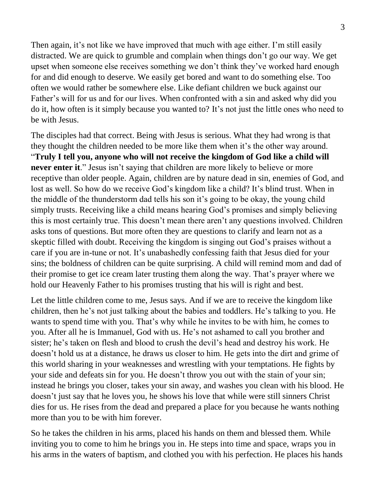Then again, it's not like we have improved that much with age either. I'm still easily distracted. We are quick to grumble and complain when things don't go our way. We get upset when someone else receives something we don't think they've worked hard enough for and did enough to deserve. We easily get bored and want to do something else. Too often we would rather be somewhere else. Like defiant children we buck against our Father's will for us and for our lives. When confronted with a sin and asked why did you do it, how often is it simply because you wanted to? It's not just the little ones who need to be with Jesus.

The disciples had that correct. Being with Jesus is serious. What they had wrong is that they thought the children needed to be more like them when it's the other way around. "**Truly I tell you, anyone who will not receive the kingdom of God like a child will never enter it.**" Jesus isn't saying that children are more likely to believe or more receptive than older people. Again, children are by nature dead in sin, enemies of God, and lost as well. So how do we receive God's kingdom like a child? It's blind trust. When in the middle of the thunderstorm dad tells his son it's going to be okay, the young child simply trusts. Receiving like a child means hearing God's promises and simply believing this is most certainly true. This doesn't mean there aren't any questions involved. Children asks tons of questions. But more often they are questions to clarify and learn not as a skeptic filled with doubt. Receiving the kingdom is singing out God's praises without a care if you are in-tune or not. It's unabashedly confessing faith that Jesus died for your sins; the boldness of children can be quite surprising. A child will remind mom and dad of their promise to get ice cream later trusting them along the way. That's prayer where we hold our Heavenly Father to his promises trusting that his will is right and best.

Let the little children come to me, Jesus says. And if we are to receive the kingdom like children, then he's not just talking about the babies and toddlers. He's talking to you. He wants to spend time with you. That's why while he invites to be with him, he comes to you. After all he is Immanuel, God with us. He's not ashamed to call you brother and sister; he's taken on flesh and blood to crush the devil's head and destroy his work. He doesn't hold us at a distance, he draws us closer to him. He gets into the dirt and grime of this world sharing in your weaknesses and wrestling with your temptations. He fights by your side and defeats sin for you. He doesn't throw you out with the stain of your sin; instead he brings you closer, takes your sin away, and washes you clean with his blood. He doesn't just say that he loves you, he shows his love that while were still sinners Christ dies for us. He rises from the dead and prepared a place for you because he wants nothing more than you to be with him forever.

So he takes the children in his arms, placed his hands on them and blessed them. While inviting you to come to him he brings you in. He steps into time and space, wraps you in his arms in the waters of baptism, and clothed you with his perfection. He places his hands